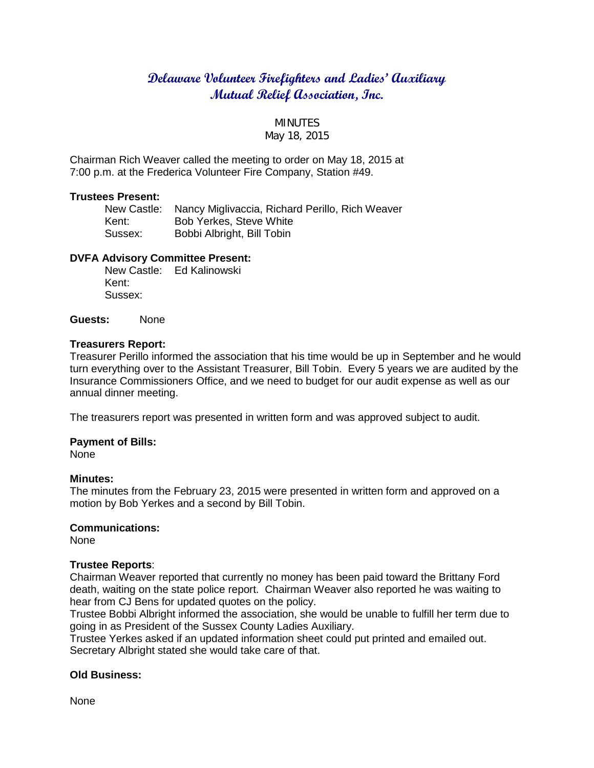# **Delaware Volunteer Firefighters and Ladies' Auxiliary Mutual Relief Association, Inc.**

## MINUTES

## May 18, 2015

Chairman Rich Weaver called the meeting to order on May 18, 2015 at 7:00 p.m. at the Frederica Volunteer Fire Company, Station #49.

#### **Trustees Present:**

|         | New Castle: Nancy Miglivaccia, Richard Perillo, Rich Weaver |
|---------|-------------------------------------------------------------|
| Kent:   | <b>Bob Yerkes, Steve White</b>                              |
| Sussex: | Bobbi Albright, Bill Tobin                                  |

### **DVFA Advisory Committee Present:**

New Castle: Ed Kalinowski Kent: Sussex:

**Guests:** None

## **Treasurers Report:**

Treasurer Perillo informed the association that his time would be up in September and he would turn everything over to the Assistant Treasurer, Bill Tobin. Every 5 years we are audited by the Insurance Commissioners Office, and we need to budget for our audit expense as well as our annual dinner meeting.

The treasurers report was presented in written form and was approved subject to audit.

### **Payment of Bills:**

None

### **Minutes:**

The minutes from the February 23, 2015 were presented in written form and approved on a motion by Bob Yerkes and a second by Bill Tobin.

### **Communications:**

None

### **Trustee Reports**:

Chairman Weaver reported that currently no money has been paid toward the Brittany Ford death, waiting on the state police report. Chairman Weaver also reported he was waiting to hear from CJ Bens for updated quotes on the policy.

Trustee Bobbi Albright informed the association, she would be unable to fulfill her term due to going in as President of the Sussex County Ladies Auxiliary.

Trustee Yerkes asked if an updated information sheet could put printed and emailed out. Secretary Albright stated she would take care of that.

### **Old Business:**

None